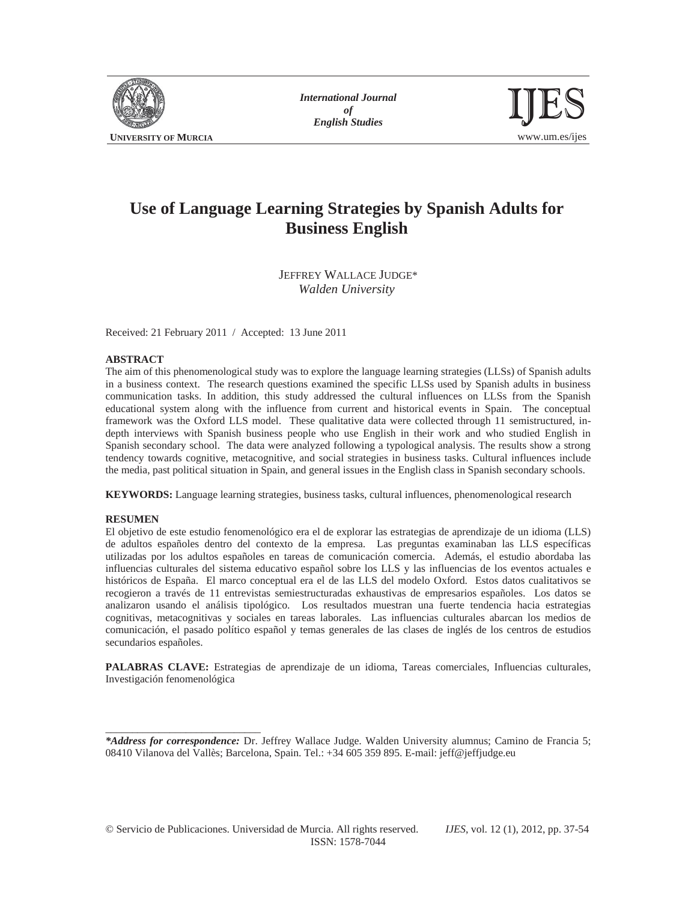

*International Journal of* 



# **Use of Language Learning Strategies by Spanish Adults for Business English**

JEFFREY WALLACE JUDGE\* *Walden University* 

Received: 21 February 2011 / Accepted: 13 June 2011

### **ABSTRACT**

The aim of this phenomenological study was to explore the language learning strategies (LLSs) of Spanish adults in a business context. The research questions examined the specific LLSs used by Spanish adults in business communication tasks. In addition, this study addressed the cultural influences on LLSs from the Spanish educational system along with the influence from current and historical events in Spain. The conceptual framework was the Oxford LLS model. These qualitative data were collected through 11 semistructured, indepth interviews with Spanish business people who use English in their work and who studied English in Spanish secondary school. The data were analyzed following a typological analysis. The results show a strong tendency towards cognitive, metacognitive, and social strategies in business tasks. Cultural influences include the media, past political situation in Spain, and general issues in the English class in Spanish secondary schools.

**KEYWORDS:** Language learning strategies, business tasks, cultural influences, phenomenological research

#### **RESUMEN**

\_\_\_\_\_\_\_\_\_\_\_\_\_\_\_\_\_\_\_\_\_\_\_\_\_\_\_\_\_

El objetivo de este estudio fenomenológico era el de explorar las estrategias de aprendizaje de un idioma (LLS) de adultos españoles dentro del contexto de la empresa. Las preguntas examinaban las LLS específicas utilizadas por los adultos españoles en tareas de comunicación comercia. Además, el estudio abordaba las influencias culturales del sistema educativo español sobre los LLS y las influencias de los eventos actuales e históricos de España. El marco conceptual era el de las LLS del modelo Oxford. Estos datos cualitativos se recogieron a través de 11 entrevistas semiestructuradas exhaustivas de empresarios españoles. Los datos se analizaron usando el análisis tipológico. Los resultados muestran una fuerte tendencia hacia estrategias cognitivas, metacognitivas y sociales en tareas laborales. Las influencias culturales abarcan los medios de comunicación, el pasado político español y temas generales de las clases de inglés de los centros de estudios secundarios españoles.

**PALABRAS CLAVE:** Estrategias de aprendizaje de un idioma, Tareas comerciales, Influencias culturales, Investigación fenomenológica

*\*Address for correspondence:* Dr. Jeffrey Wallace Judge. Walden University alumnus; Camino de Francia 5; 08410 Vilanova del Vallès; Barcelona, Spain. Tel.: +34 605 359 895. E-mail: jeff@jeffjudge.eu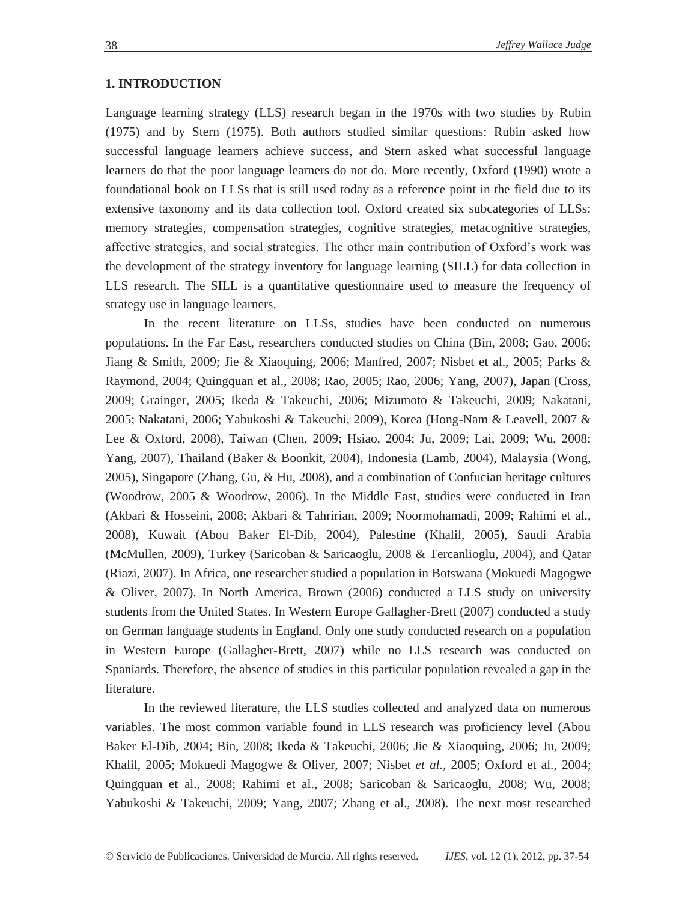## **1. INTRODUCTION**

Language learning strategy (LLS) research began in the 1970s with two studies by Rubin (1975) and by Stern (1975). Both authors studied similar questions: Rubin asked how successful language learners achieve success, and Stern asked what successful language learners do that the poor language learners do not do. More recently, Oxford (1990) wrote a foundational book on LLSs that is still used today as a reference point in the field due to its extensive taxonomy and its data collection tool. Oxford created six subcategories of LLSs: memory strategies, compensation strategies, cognitive strategies, metacognitive strategies, affective strategies, and social strategies. The other main contribution of Oxford's work was the development of the strategy inventory for language learning (SILL) for data collection in LLS research. The SILL is a quantitative questionnaire used to measure the frequency of strategy use in language learners.

In the recent literature on LLSs, studies have been conducted on numerous populations. In the Far East, researchers conducted studies on China (Bin, 2008; Gao, 2006; Jiang & Smith, 2009; Jie & Xiaoquing, 2006; Manfred, 2007; Nisbet et al., 2005; Parks & Raymond, 2004; Quingquan et al., 2008; Rao, 2005; Rao, 2006; Yang, 2007), Japan (Cross, 2009; Grainger, 2005; Ikeda & Takeuchi, 2006; Mizumoto & Takeuchi, 2009; Nakatani, 2005; Nakatani, 2006; Yabukoshi & Takeuchi, 2009), Korea (Hong-Nam & Leavell, 2007 & Lee & Oxford, 2008), Taiwan (Chen, 2009; Hsiao, 2004; Ju, 2009; Lai, 2009; Wu, 2008; Yang, 2007), Thailand (Baker & Boonkit, 2004), Indonesia (Lamb, 2004), Malaysia (Wong, 2005), Singapore (Zhang, Gu, & Hu, 2008), and a combination of Confucian heritage cultures (Woodrow, 2005 & Woodrow, 2006). In the Middle East, studies were conducted in Iran (Akbari & Hosseini, 2008; Akbari & Tahririan, 2009; Noormohamadi, 2009; Rahimi et al., 2008), Kuwait (Abou Baker El-Dib, 2004), Palestine (Khalil, 2005), Saudi Arabia (McMullen, 2009), Turkey (Saricoban & Saricaoglu, 2008 & Tercanlioglu, 2004), and Qatar (Riazi, 2007). In Africa, one researcher studied a population in Botswana (Mokuedi Magogwe & Oliver, 2007). In North America, Brown (2006) conducted a LLS study on university students from the United States. In Western Europe Gallagher-Brett (2007) conducted a study on German language students in England. Only one study conducted research on a population in Western Europe (Gallagher-Brett, 2007) while no LLS research was conducted on Spaniards. Therefore, the absence of studies in this particular population revealed a gap in the literature.

In the reviewed literature, the LLS studies collected and analyzed data on numerous variables. The most common variable found in LLS research was proficiency level (Abou Baker El-Dib, 2004; Bin, 2008; Ikeda & Takeuchi, 2006; Jie & Xiaoquing, 2006; Ju, 2009; Khalil, 2005; Mokuedi Magogwe & Oliver, 2007; Nisbet *et al.,* 2005; Oxford et al., 2004; Quingquan et al., 2008; Rahimi et al., 2008; Saricoban & Saricaoglu, 2008; Wu, 2008; Yabukoshi & Takeuchi, 2009; Yang, 2007; Zhang et al., 2008). The next most researched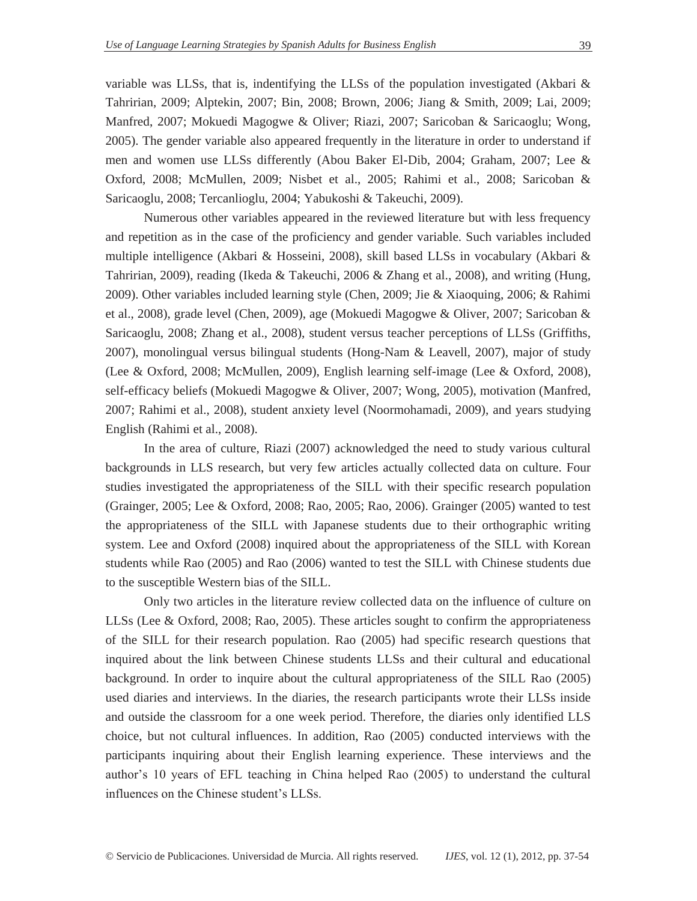variable was LLSs, that is, indentifying the LLSs of the population investigated (Akbari  $\&$ Tahririan, 2009; Alptekin, 2007; Bin, 2008; Brown, 2006; Jiang & Smith, 2009; Lai, 2009; Manfred, 2007; Mokuedi Magogwe & Oliver; Riazi, 2007; Saricoban & Saricaoglu; Wong, 2005). The gender variable also appeared frequently in the literature in order to understand if men and women use LLSs differently (Abou Baker El-Dib, 2004; Graham, 2007; Lee & Oxford, 2008; McMullen, 2009; Nisbet et al., 2005; Rahimi et al., 2008; Saricoban & Saricaoglu, 2008; Tercanlioglu, 2004; Yabukoshi & Takeuchi, 2009).

Numerous other variables appeared in the reviewed literature but with less frequency and repetition as in the case of the proficiency and gender variable. Such variables included multiple intelligence (Akbari & Hosseini, 2008), skill based LLSs in vocabulary (Akbari & Tahririan, 2009), reading (Ikeda & Takeuchi, 2006 & Zhang et al., 2008), and writing (Hung, 2009). Other variables included learning style (Chen, 2009; Jie & Xiaoquing, 2006; & Rahimi et al., 2008), grade level (Chen, 2009), age (Mokuedi Magogwe & Oliver, 2007; Saricoban & Saricaoglu, 2008; Zhang et al., 2008), student versus teacher perceptions of LLSs (Griffiths, 2007), monolingual versus bilingual students (Hong-Nam & Leavell, 2007), major of study (Lee & Oxford, 2008; McMullen, 2009), English learning self-image (Lee & Oxford, 2008), self-efficacy beliefs (Mokuedi Magogwe & Oliver, 2007; Wong, 2005), motivation (Manfred, 2007; Rahimi et al., 2008), student anxiety level (Noormohamadi, 2009), and years studying English (Rahimi et al., 2008).

In the area of culture, Riazi (2007) acknowledged the need to study various cultural backgrounds in LLS research, but very few articles actually collected data on culture. Four studies investigated the appropriateness of the SILL with their specific research population (Grainger, 2005; Lee & Oxford, 2008; Rao, 2005; Rao, 2006). Grainger (2005) wanted to test the appropriateness of the SILL with Japanese students due to their orthographic writing system. Lee and Oxford (2008) inquired about the appropriateness of the SILL with Korean students while Rao (2005) and Rao (2006) wanted to test the SILL with Chinese students due to the susceptible Western bias of the SILL.

Only two articles in the literature review collected data on the influence of culture on LLSs (Lee & Oxford, 2008; Rao, 2005). These articles sought to confirm the appropriateness of the SILL for their research population. Rao (2005) had specific research questions that inquired about the link between Chinese students LLSs and their cultural and educational background. In order to inquire about the cultural appropriateness of the SILL Rao (2005) used diaries and interviews. In the diaries, the research participants wrote their LLSs inside and outside the classroom for a one week period. Therefore, the diaries only identified LLS choice, but not cultural influences. In addition, Rao (2005) conducted interviews with the participants inquiring about their English learning experience. These interviews and the author's 10 years of EFL teaching in China helped Rao (2005) to understand the cultural influences on the Chinese student's LLSs.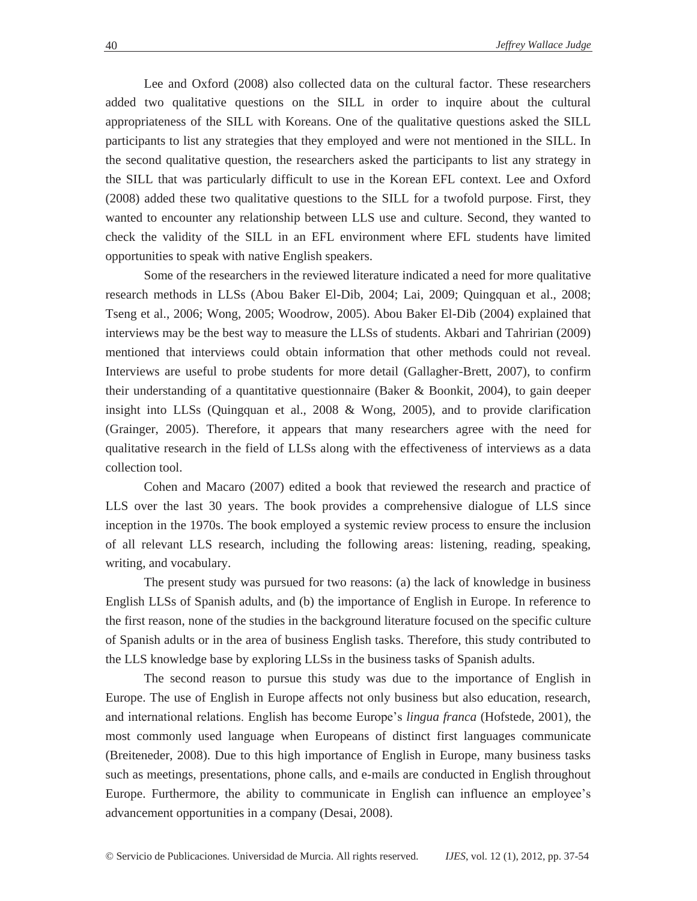Lee and Oxford (2008) also collected data on the cultural factor. These researchers added two qualitative questions on the SILL in order to inquire about the cultural appropriateness of the SILL with Koreans. One of the qualitative questions asked the SILL participants to list any strategies that they employed and were not mentioned in the SILL. In the second qualitative question, the researchers asked the participants to list any strategy in the SILL that was particularly difficult to use in the Korean EFL context. Lee and Oxford (2008) added these two qualitative questions to the SILL for a twofold purpose. First, they wanted to encounter any relationship between LLS use and culture. Second, they wanted to check the validity of the SILL in an EFL environment where EFL students have limited opportunities to speak with native English speakers.

Some of the researchers in the reviewed literature indicated a need for more qualitative research methods in LLSs (Abou Baker El-Dib, 2004; Lai, 2009; Quingquan et al., 2008; Tseng et al., 2006; Wong, 2005; Woodrow, 2005). Abou Baker El-Dib (2004) explained that interviews may be the best way to measure the LLSs of students. Akbari and Tahririan (2009) mentioned that interviews could obtain information that other methods could not reveal. Interviews are useful to probe students for more detail (Gallagher-Brett, 2007), to confirm their understanding of a quantitative questionnaire (Baker & Boonkit, 2004), to gain deeper insight into LLSs (Quingquan et al., 2008 & Wong, 2005), and to provide clarification (Grainger, 2005). Therefore, it appears that many researchers agree with the need for qualitative research in the field of LLSs along with the effectiveness of interviews as a data collection tool.

Cohen and Macaro (2007) edited a book that reviewed the research and practice of LLS over the last 30 years. The book provides a comprehensive dialogue of LLS since inception in the 1970s. The book employed a systemic review process to ensure the inclusion of all relevant LLS research, including the following areas: listening, reading, speaking, writing, and vocabulary.

The present study was pursued for two reasons: (a) the lack of knowledge in business English LLSs of Spanish adults, and (b) the importance of English in Europe. In reference to the first reason, none of the studies in the background literature focused on the specific culture of Spanish adults or in the area of business English tasks. Therefore, this study contributed to the LLS knowledge base by exploring LLSs in the business tasks of Spanish adults.

The second reason to pursue this study was due to the importance of English in Europe. The use of English in Europe affects not only business but also education, research, and international relations. English has become Europe's *lingua franca* (Hofstede, 2001), the most commonly used language when Europeans of distinct first languages communicate (Breiteneder, 2008). Due to this high importance of English in Europe, many business tasks such as meetings, presentations, phone calls, and e-mails are conducted in English throughout Europe. Furthermore, the ability to communicate in English can influence an employee's advancement opportunities in a company (Desai, 2008).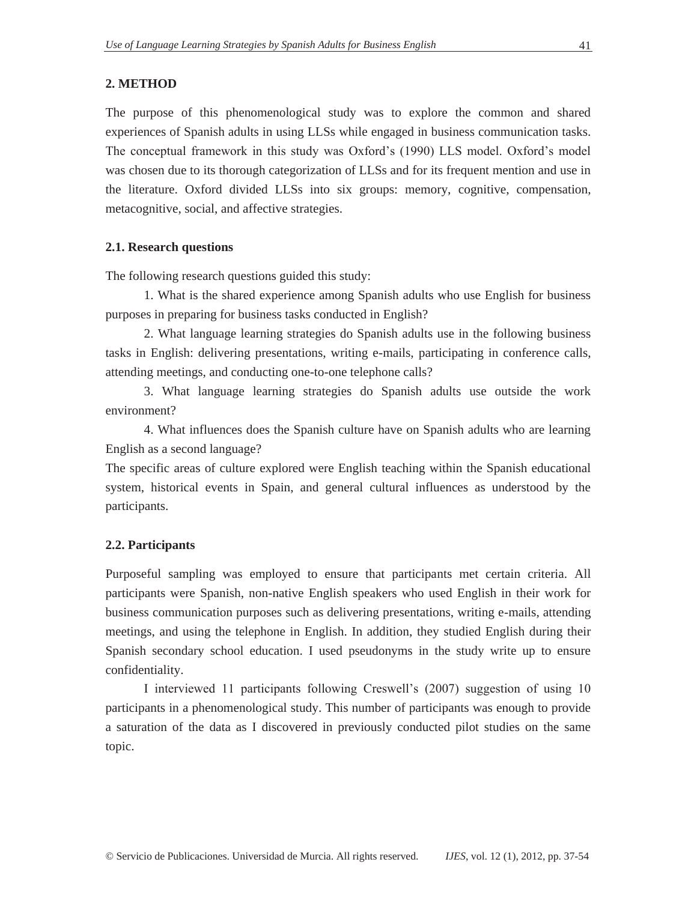# **2. METHOD**

The purpose of this phenomenological study was to explore the common and shared experiences of Spanish adults in using LLSs while engaged in business communication tasks. The conceptual framework in this study was Oxford's (1990) LLS model. Oxford's model was chosen due to its thorough categorization of LLSs and for its frequent mention and use in the literature. Oxford divided LLSs into six groups: memory, cognitive, compensation, metacognitive, social, and affective strategies.

# **2.1. Research questions**

The following research questions guided this study:

1. What is the shared experience among Spanish adults who use English for business purposes in preparing for business tasks conducted in English?

2. What language learning strategies do Spanish adults use in the following business tasks in English: delivering presentations, writing e-mails, participating in conference calls, attending meetings, and conducting one-to-one telephone calls?

3. What language learning strategies do Spanish adults use outside the work environment?

4. What influences does the Spanish culture have on Spanish adults who are learning English as a second language?

The specific areas of culture explored were English teaching within the Spanish educational system, historical events in Spain, and general cultural influences as understood by the participants.

# **2.2. Participants**

Purposeful sampling was employed to ensure that participants met certain criteria. All participants were Spanish, non-native English speakers who used English in their work for business communication purposes such as delivering presentations, writing e-mails, attending meetings, and using the telephone in English. In addition, they studied English during their Spanish secondary school education. I used pseudonyms in the study write up to ensure confidentiality.

I interviewed 11 participants following Creswell's (2007) suggestion of using 10 participants in a phenomenological study. This number of participants was enough to provide a saturation of the data as I discovered in previously conducted pilot studies on the same topic.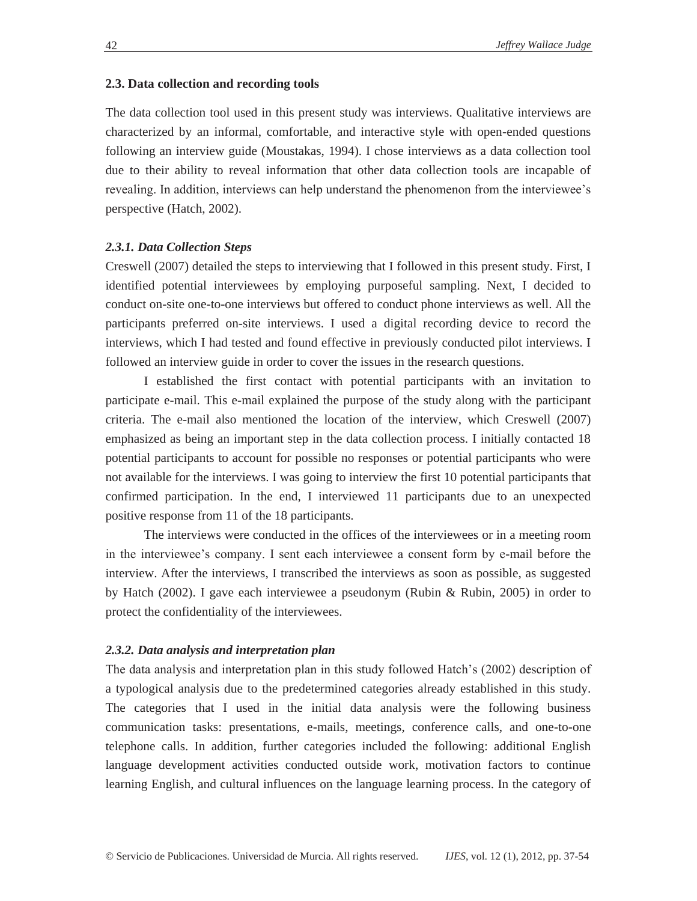### **2.3. Data collection and recording tools**

The data collection tool used in this present study was interviews. Qualitative interviews are characterized by an informal, comfortable, and interactive style with open-ended questions following an interview guide (Moustakas, 1994). I chose interviews as a data collection tool due to their ability to reveal information that other data collection tools are incapable of revealing. In addition, interviews can help understand the phenomenon from the interviewee's perspective (Hatch, 2002).

# *2.3.1. Data Collection Steps*

Creswell (2007) detailed the steps to interviewing that I followed in this present study. First, I identified potential interviewees by employing purposeful sampling. Next, I decided to conduct on-site one-to-one interviews but offered to conduct phone interviews as well. All the participants preferred on-site interviews. I used a digital recording device to record the interviews, which I had tested and found effective in previously conducted pilot interviews. I followed an interview guide in order to cover the issues in the research questions.

I established the first contact with potential participants with an invitation to participate e-mail. This e-mail explained the purpose of the study along with the participant criteria. The e-mail also mentioned the location of the interview, which Creswell (2007) emphasized as being an important step in the data collection process. I initially contacted 18 potential participants to account for possible no responses or potential participants who were not available for the interviews. I was going to interview the first 10 potential participants that confirmed participation. In the end, I interviewed 11 participants due to an unexpected positive response from 11 of the 18 participants.

The interviews were conducted in the offices of the interviewees or in a meeting room in the interviewee's company. I sent each interviewee a consent form by e-mail before the interview. After the interviews, I transcribed the interviews as soon as possible, as suggested by Hatch (2002). I gave each interviewee a pseudonym (Rubin & Rubin, 2005) in order to protect the confidentiality of the interviewees.

## *2.3.2. Data analysis and interpretation plan*

The data analysis and interpretation plan in this study followed Hatch's (2002) description of a typological analysis due to the predetermined categories already established in this study. The categories that I used in the initial data analysis were the following business communication tasks: presentations, e-mails, meetings, conference calls, and one-to-one telephone calls. In addition, further categories included the following: additional English language development activities conducted outside work, motivation factors to continue learning English, and cultural influences on the language learning process. In the category of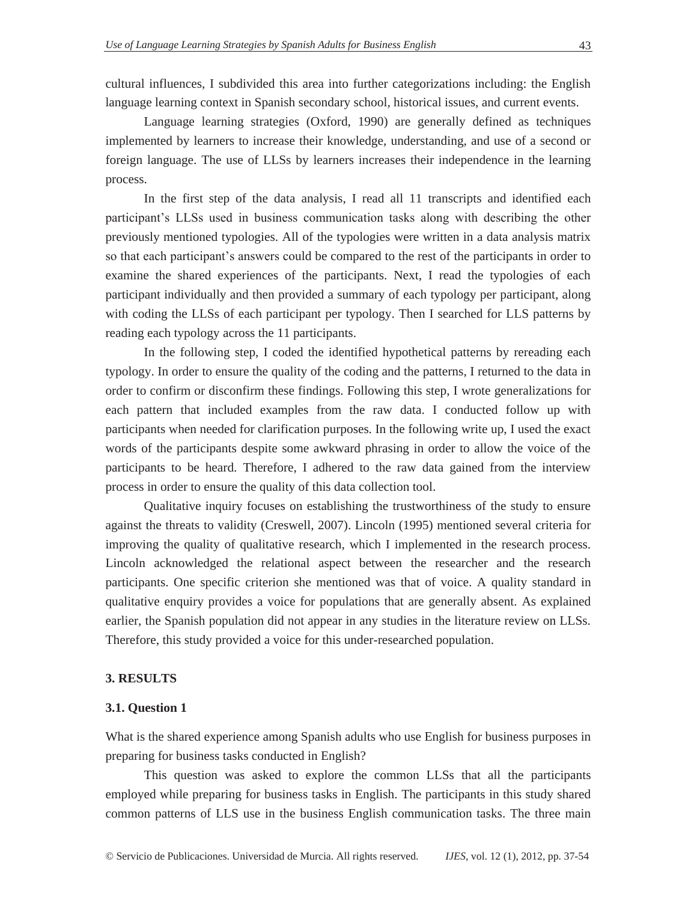cultural influences, I subdivided this area into further categorizations including: the English language learning context in Spanish secondary school, historical issues, and current events.

Language learning strategies (Oxford, 1990) are generally defined as techniques implemented by learners to increase their knowledge, understanding, and use of a second or foreign language. The use of LLSs by learners increases their independence in the learning process.

In the first step of the data analysis, I read all 11 transcripts and identified each participant's LLSs used in business communication tasks along with describing the other previously mentioned typologies. All of the typologies were written in a data analysis matrix so that each participant's answers could be compared to the rest of the participants in order to examine the shared experiences of the participants. Next, I read the typologies of each participant individually and then provided a summary of each typology per participant, along with coding the LLSs of each participant per typology. Then I searched for LLS patterns by reading each typology across the 11 participants.

In the following step, I coded the identified hypothetical patterns by rereading each typology. In order to ensure the quality of the coding and the patterns, I returned to the data in order to confirm or disconfirm these findings. Following this step, I wrote generalizations for each pattern that included examples from the raw data. I conducted follow up with participants when needed for clarification purposes. In the following write up, I used the exact words of the participants despite some awkward phrasing in order to allow the voice of the participants to be heard. Therefore, I adhered to the raw data gained from the interview process in order to ensure the quality of this data collection tool.

Qualitative inquiry focuses on establishing the trustworthiness of the study to ensure against the threats to validity (Creswell, 2007). Lincoln (1995) mentioned several criteria for improving the quality of qualitative research, which I implemented in the research process. Lincoln acknowledged the relational aspect between the researcher and the research participants. One specific criterion she mentioned was that of voice. A quality standard in qualitative enquiry provides a voice for populations that are generally absent. As explained earlier, the Spanish population did not appear in any studies in the literature review on LLSs. Therefore, this study provided a voice for this under-researched population.

#### **3. RESULTS**

#### **3.1. Question 1**

What is the shared experience among Spanish adults who use English for business purposes in preparing for business tasks conducted in English?

This question was asked to explore the common LLSs that all the participants employed while preparing for business tasks in English. The participants in this study shared common patterns of LLS use in the business English communication tasks. The three main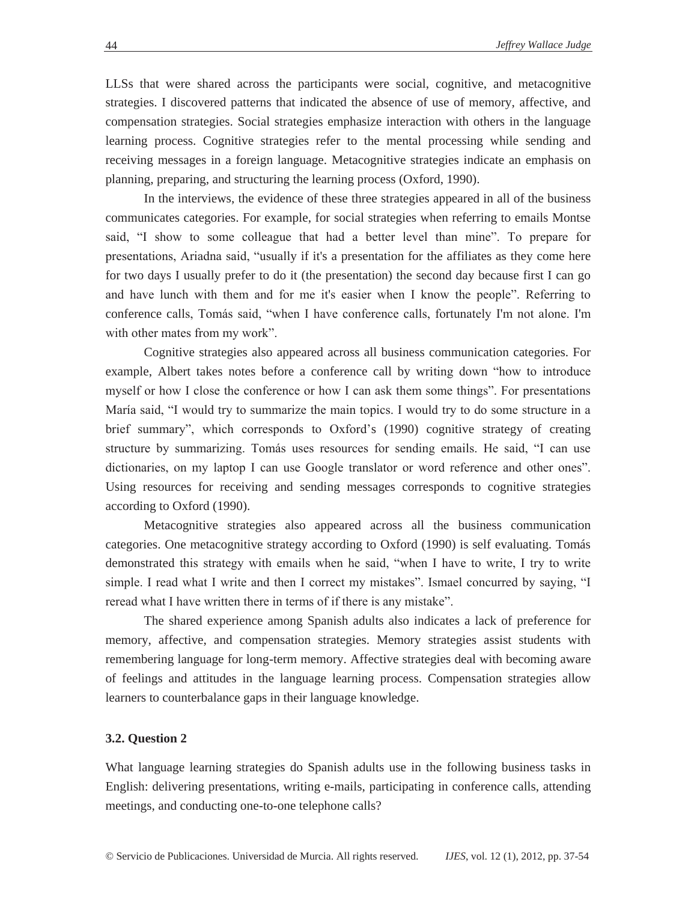LLSs that were shared across the participants were social, cognitive, and metacognitive strategies. I discovered patterns that indicated the absence of use of memory, affective, and compensation strategies. Social strategies emphasize interaction with others in the language learning process. Cognitive strategies refer to the mental processing while sending and receiving messages in a foreign language. Metacognitive strategies indicate an emphasis on planning, preparing, and structuring the learning process (Oxford, 1990).

In the interviews, the evidence of these three strategies appeared in all of the business communicates categories. For example, for social strategies when referring to emails Montse said, "I show to some colleague that had a better level than mine". To prepare for presentations, Ariadna said, "usually if it's a presentation for the affiliates as they come here for two days I usually prefer to do it (the presentation) the second day because first I can go and have lunch with them and for me it's easier when I know the people". Referring to conference calls, Tomás said, "when I have conference calls, fortunately I'm not alone. I'm with other mates from my work".

Cognitive strategies also appeared across all business communication categories. For example, Albert takes notes before a conference call by writing down "how to introduce myself or how I close the conference or how I can ask them some things". For presentations María said, "I would try to summarize the main topics. I would try to do some structure in a brief summary", which corresponds to Oxford's (1990) cognitive strategy of creating structure by summarizing. Tomás uses resources for sending emails. He said, "I can use dictionaries, on my laptop I can use Google translator or word reference and other ones". Using resources for receiving and sending messages corresponds to cognitive strategies according to Oxford (1990).

Metacognitive strategies also appeared across all the business communication categories. One metacognitive strategy according to Oxford (1990) is self evaluating. Tomás demonstrated this strategy with emails when he said, "when I have to write, I try to write simple. I read what I write and then I correct my mistakes". Ismael concurred by saying, "I reread what I have written there in terms of if there is any mistake".

The shared experience among Spanish adults also indicates a lack of preference for memory, affective, and compensation strategies. Memory strategies assist students with remembering language for long-term memory. Affective strategies deal with becoming aware of feelings and attitudes in the language learning process. Compensation strategies allow learners to counterbalance gaps in their language knowledge.

# **3.2. Question 2**

What language learning strategies do Spanish adults use in the following business tasks in English: delivering presentations, writing e-mails, participating in conference calls, attending meetings, and conducting one-to-one telephone calls?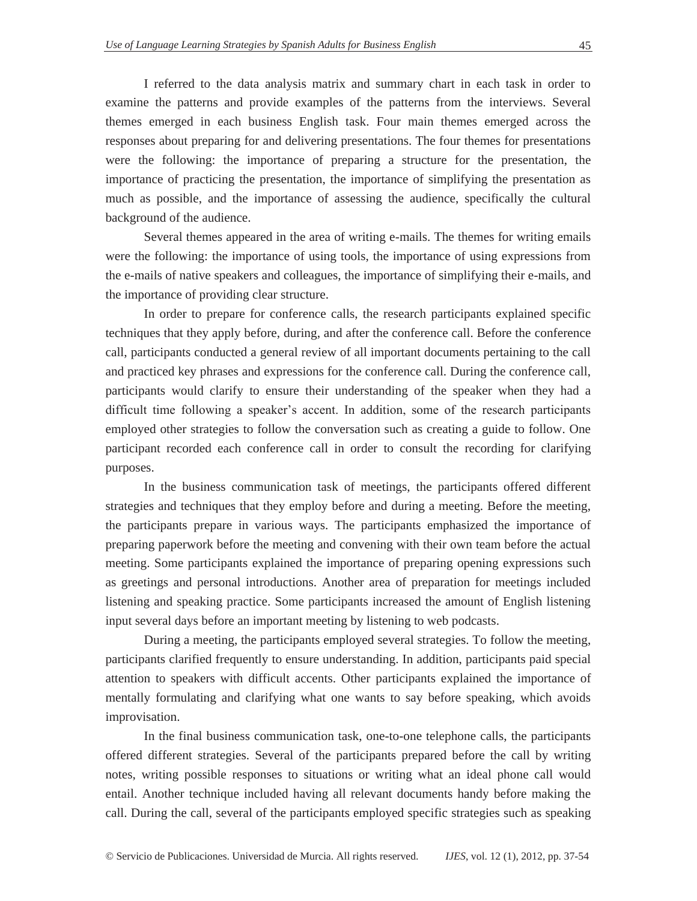I referred to the data analysis matrix and summary chart in each task in order to examine the patterns and provide examples of the patterns from the interviews. Several themes emerged in each business English task. Four main themes emerged across the responses about preparing for and delivering presentations. The four themes for presentations were the following: the importance of preparing a structure for the presentation, the importance of practicing the presentation, the importance of simplifying the presentation as much as possible, and the importance of assessing the audience, specifically the cultural background of the audience.

Several themes appeared in the area of writing e-mails. The themes for writing emails were the following: the importance of using tools, the importance of using expressions from the e-mails of native speakers and colleagues, the importance of simplifying their e-mails, and the importance of providing clear structure.

In order to prepare for conference calls, the research participants explained specific techniques that they apply before, during, and after the conference call. Before the conference call, participants conducted a general review of all important documents pertaining to the call and practiced key phrases and expressions for the conference call. During the conference call, participants would clarify to ensure their understanding of the speaker when they had a difficult time following a speaker's accent. In addition, some of the research participants employed other strategies to follow the conversation such as creating a guide to follow. One participant recorded each conference call in order to consult the recording for clarifying purposes.

In the business communication task of meetings, the participants offered different strategies and techniques that they employ before and during a meeting. Before the meeting, the participants prepare in various ways. The participants emphasized the importance of preparing paperwork before the meeting and convening with their own team before the actual meeting. Some participants explained the importance of preparing opening expressions such as greetings and personal introductions. Another area of preparation for meetings included listening and speaking practice. Some participants increased the amount of English listening input several days before an important meeting by listening to web podcasts.

During a meeting, the participants employed several strategies. To follow the meeting, participants clarified frequently to ensure understanding. In addition, participants paid special attention to speakers with difficult accents. Other participants explained the importance of mentally formulating and clarifying what one wants to say before speaking, which avoids improvisation.

In the final business communication task, one-to-one telephone calls, the participants offered different strategies. Several of the participants prepared before the call by writing notes, writing possible responses to situations or writing what an ideal phone call would entail. Another technique included having all relevant documents handy before making the call. During the call, several of the participants employed specific strategies such as speaking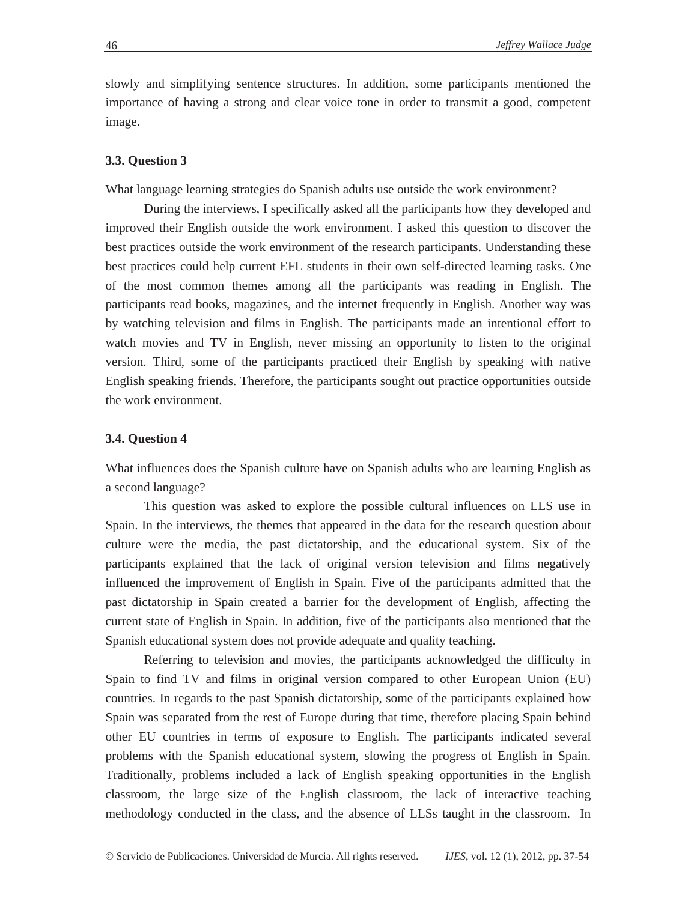slowly and simplifying sentence structures. In addition, some participants mentioned the importance of having a strong and clear voice tone in order to transmit a good, competent image.

#### **3.3. Question 3**

What language learning strategies do Spanish adults use outside the work environment?

During the interviews, I specifically asked all the participants how they developed and improved their English outside the work environment. I asked this question to discover the best practices outside the work environment of the research participants. Understanding these best practices could help current EFL students in their own self-directed learning tasks. One of the most common themes among all the participants was reading in English. The participants read books, magazines, and the internet frequently in English. Another way was by watching television and films in English. The participants made an intentional effort to watch movies and TV in English, never missing an opportunity to listen to the original version. Third, some of the participants practiced their English by speaking with native English speaking friends. Therefore, the participants sought out practice opportunities outside the work environment.

### **3.4. Question 4**

What influences does the Spanish culture have on Spanish adults who are learning English as a second language?

This question was asked to explore the possible cultural influences on LLS use in Spain. In the interviews, the themes that appeared in the data for the research question about culture were the media, the past dictatorship, and the educational system. Six of the participants explained that the lack of original version television and films negatively influenced the improvement of English in Spain. Five of the participants admitted that the past dictatorship in Spain created a barrier for the development of English, affecting the current state of English in Spain. In addition, five of the participants also mentioned that the Spanish educational system does not provide adequate and quality teaching.

Referring to television and movies, the participants acknowledged the difficulty in Spain to find TV and films in original version compared to other European Union (EU) countries. In regards to the past Spanish dictatorship, some of the participants explained how Spain was separated from the rest of Europe during that time, therefore placing Spain behind other EU countries in terms of exposure to English. The participants indicated several problems with the Spanish educational system, slowing the progress of English in Spain. Traditionally, problems included a lack of English speaking opportunities in the English classroom, the large size of the English classroom, the lack of interactive teaching methodology conducted in the class, and the absence of LLSs taught in the classroom. In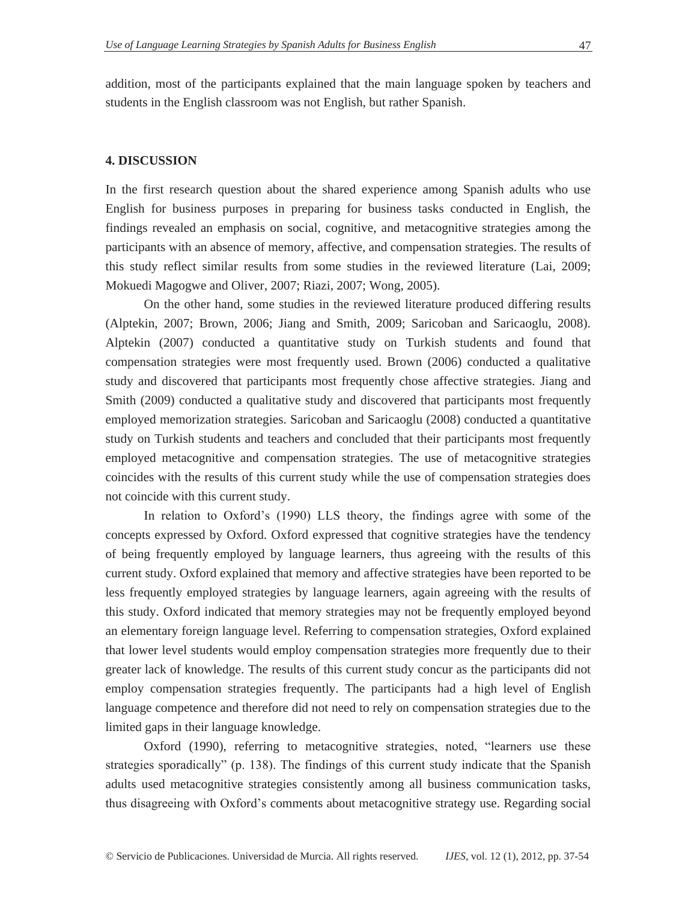addition, most of the participants explained that the main language spoken by teachers and students in the English classroom was not English, but rather Spanish.

## **4. DISCUSSION**

In the first research question about the shared experience among Spanish adults who use English for business purposes in preparing for business tasks conducted in English, the findings revealed an emphasis on social, cognitive, and metacognitive strategies among the participants with an absence of memory, affective, and compensation strategies. The results of this study reflect similar results from some studies in the reviewed literature (Lai, 2009; Mokuedi Magogwe and Oliver, 2007; Riazi, 2007; Wong, 2005).

On the other hand, some studies in the reviewed literature produced differing results (Alptekin, 2007; Brown, 2006; Jiang and Smith, 2009; Saricoban and Saricaoglu, 2008). Alptekin (2007) conducted a quantitative study on Turkish students and found that compensation strategies were most frequently used. Brown (2006) conducted a qualitative study and discovered that participants most frequently chose affective strategies. Jiang and Smith (2009) conducted a qualitative study and discovered that participants most frequently employed memorization strategies. Saricoban and Saricaoglu (2008) conducted a quantitative study on Turkish students and teachers and concluded that their participants most frequently employed metacognitive and compensation strategies. The use of metacognitive strategies coincides with the results of this current study while the use of compensation strategies does not coincide with this current study.

In relation to Oxford's (1990) LLS theory, the findings agree with some of the concepts expressed by Oxford. Oxford expressed that cognitive strategies have the tendency of being frequently employed by language learners, thus agreeing with the results of this current study. Oxford explained that memory and affective strategies have been reported to be less frequently employed strategies by language learners, again agreeing with the results of this study. Oxford indicated that memory strategies may not be frequently employed beyond an elementary foreign language level. Referring to compensation strategies, Oxford explained that lower level students would employ compensation strategies more frequently due to their greater lack of knowledge. The results of this current study concur as the participants did not employ compensation strategies frequently. The participants had a high level of English language competence and therefore did not need to rely on compensation strategies due to the limited gaps in their language knowledge.

Oxford (1990), referring to metacognitive strategies, noted, "learners use these strategies sporadically" (p. 138). The findings of this current study indicate that the Spanish adults used metacognitive strategies consistently among all business communication tasks, thus disagreeing with Oxford's comments about metacognitive strategy use. Regarding social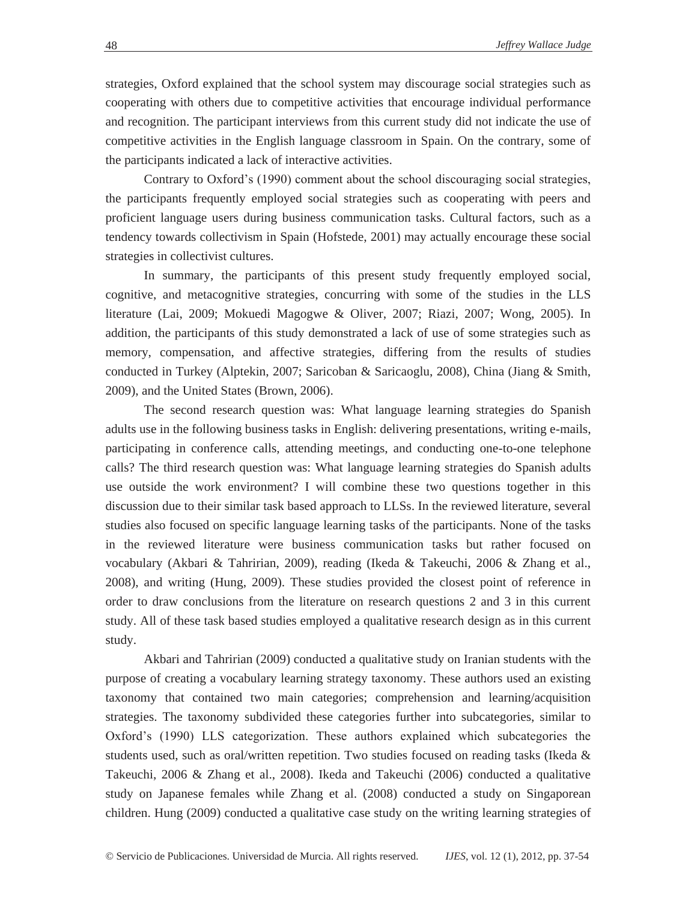strategies, Oxford explained that the school system may discourage social strategies such as cooperating with others due to competitive activities that encourage individual performance and recognition. The participant interviews from this current study did not indicate the use of competitive activities in the English language classroom in Spain. On the contrary, some of the participants indicated a lack of interactive activities.

Contrary to Oxford's (1990) comment about the school discouraging social strategies, the participants frequently employed social strategies such as cooperating with peers and proficient language users during business communication tasks. Cultural factors, such as a tendency towards collectivism in Spain (Hofstede, 2001) may actually encourage these social strategies in collectivist cultures.

In summary, the participants of this present study frequently employed social, cognitive, and metacognitive strategies, concurring with some of the studies in the LLS literature (Lai, 2009; Mokuedi Magogwe & Oliver, 2007; Riazi, 2007; Wong, 2005). In addition, the participants of this study demonstrated a lack of use of some strategies such as memory, compensation, and affective strategies, differing from the results of studies conducted in Turkey (Alptekin, 2007; Saricoban & Saricaoglu, 2008), China (Jiang & Smith, 2009), and the United States (Brown, 2006).

The second research question was: What language learning strategies do Spanish adults use in the following business tasks in English: delivering presentations, writing e-mails, participating in conference calls, attending meetings, and conducting one-to-one telephone calls? The third research question was: What language learning strategies do Spanish adults use outside the work environment? I will combine these two questions together in this discussion due to their similar task based approach to LLSs. In the reviewed literature, several studies also focused on specific language learning tasks of the participants. None of the tasks in the reviewed literature were business communication tasks but rather focused on vocabulary (Akbari & Tahririan, 2009), reading (Ikeda & Takeuchi, 2006 & Zhang et al., 2008), and writing (Hung, 2009). These studies provided the closest point of reference in order to draw conclusions from the literature on research questions 2 and 3 in this current study. All of these task based studies employed a qualitative research design as in this current study.

Akbari and Tahririan (2009) conducted a qualitative study on Iranian students with the purpose of creating a vocabulary learning strategy taxonomy. These authors used an existing taxonomy that contained two main categories; comprehension and learning/acquisition strategies. The taxonomy subdivided these categories further into subcategories, similar to Oxford's (1990) LLS categorization. These authors explained which subcategories the students used, such as oral/written repetition. Two studies focused on reading tasks (Ikeda & Takeuchi, 2006 & Zhang et al., 2008). Ikeda and Takeuchi (2006) conducted a qualitative study on Japanese females while Zhang et al. (2008) conducted a study on Singaporean children. Hung (2009) conducted a qualitative case study on the writing learning strategies of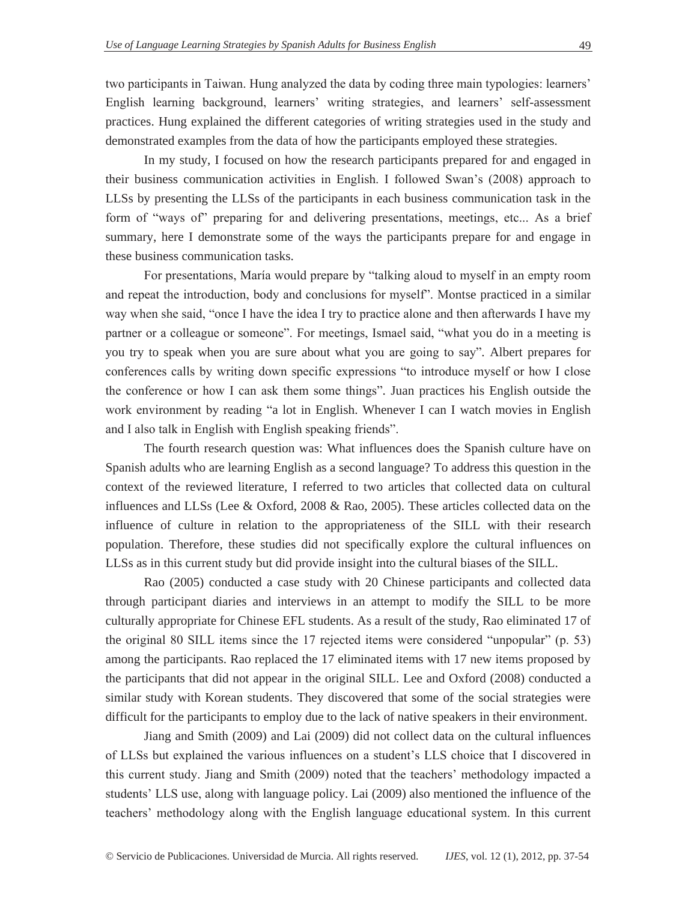two participants in Taiwan. Hung analyzed the data by coding three main typologies: learners' English learning background, learners' writing strategies, and learners' self-assessment practices. Hung explained the different categories of writing strategies used in the study and

In my study, I focused on how the research participants prepared for and engaged in their business communication activities in English. I followed Swan's (2008) approach to LLSs by presenting the LLSs of the participants in each business communication task in the form of "ways of" preparing for and delivering presentations, meetings, etc... As a brief summary, here I demonstrate some of the ways the participants prepare for and engage in these business communication tasks.

demonstrated examples from the data of how the participants employed these strategies.

For presentations, María would prepare by "talking aloud to myself in an empty room and repeat the introduction, body and conclusions for myself". Montse practiced in a similar way when she said, "once I have the idea I try to practice alone and then afterwards I have my partner or a colleague or someone". For meetings, Ismael said, "what you do in a meeting is you try to speak when you are sure about what you are going to say"*.* Albert prepares for conferences calls by writing down specific expressions "to introduce myself or how I close the conference or how I can ask them some things"*.* Juan practices his English outside the work environment by reading "a lot in English. Whenever I can I watch movies in English and I also talk in English with English speaking friends".

The fourth research question was: What influences does the Spanish culture have on Spanish adults who are learning English as a second language? To address this question in the context of the reviewed literature, I referred to two articles that collected data on cultural influences and LLSs (Lee & Oxford, 2008 & Rao, 2005). These articles collected data on the influence of culture in relation to the appropriateness of the SILL with their research population. Therefore, these studies did not specifically explore the cultural influences on LLSs as in this current study but did provide insight into the cultural biases of the SILL.

Rao (2005) conducted a case study with 20 Chinese participants and collected data through participant diaries and interviews in an attempt to modify the SILL to be more culturally appropriate for Chinese EFL students. As a result of the study, Rao eliminated 17 of the original 80 SILL items since the 17 rejected items were considered "unpopular" (p. 53) among the participants. Rao replaced the 17 eliminated items with 17 new items proposed by the participants that did not appear in the original SILL. Lee and Oxford (2008) conducted a similar study with Korean students. They discovered that some of the social strategies were difficult for the participants to employ due to the lack of native speakers in their environment.

Jiang and Smith (2009) and Lai (2009) did not collect data on the cultural influences of LLSs but explained the various influences on a student's LLS choice that I discovered in this current study. Jiang and Smith (2009) noted that the teachers' methodology impacted a students' LLS use, along with language policy. Lai (2009) also mentioned the influence of the teachers' methodology along with the English language educational system. In this current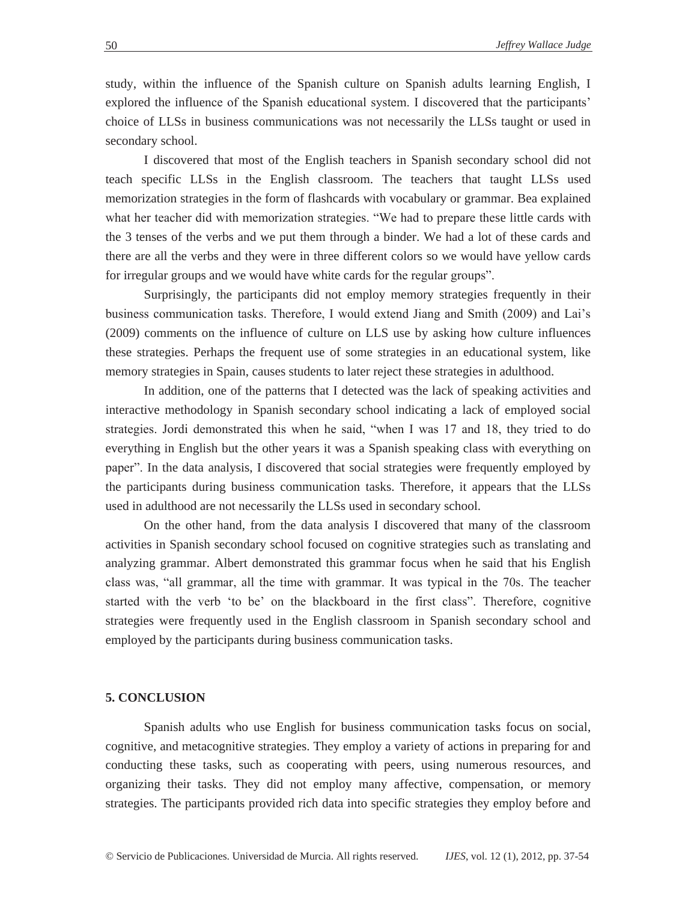study, within the influence of the Spanish culture on Spanish adults learning English, I explored the influence of the Spanish educational system. I discovered that the participants' choice of LLSs in business communications was not necessarily the LLSs taught or used in secondary school.

I discovered that most of the English teachers in Spanish secondary school did not teach specific LLSs in the English classroom. The teachers that taught LLSs used memorization strategies in the form of flashcards with vocabulary or grammar. Bea explained what her teacher did with memorization strategies. "We had to prepare these little cards with the 3 tenses of the verbs and we put them through a binder. We had a lot of these cards and there are all the verbs and they were in three different colors so we would have yellow cards for irregular groups and we would have white cards for the regular groups".

Surprisingly, the participants did not employ memory strategies frequently in their business communication tasks. Therefore, I would extend Jiang and Smith (2009) and Lai's (2009) comments on the influence of culture on LLS use by asking how culture influences these strategies. Perhaps the frequent use of some strategies in an educational system, like memory strategies in Spain, causes students to later reject these strategies in adulthood.

In addition, one of the patterns that I detected was the lack of speaking activities and interactive methodology in Spanish secondary school indicating a lack of employed social strategies. Jordi demonstrated this when he said, "when I was 17 and 18, they tried to do everything in English but the other years it was a Spanish speaking class with everything on paper". In the data analysis, I discovered that social strategies were frequently employed by the participants during business communication tasks. Therefore, it appears that the LLSs used in adulthood are not necessarily the LLSs used in secondary school.

On the other hand, from the data analysis I discovered that many of the classroom activities in Spanish secondary school focused on cognitive strategies such as translating and analyzing grammar. Albert demonstrated this grammar focus when he said that his English class was, "all grammar, all the time with grammar. It was typical in the 70s. The teacher started with the verb 'to be' on the blackboard in the first class". Therefore, cognitive strategies were frequently used in the English classroom in Spanish secondary school and employed by the participants during business communication tasks.

### **5. CONCLUSION**

 Spanish adults who use English for business communication tasks focus on social, cognitive, and metacognitive strategies. They employ a variety of actions in preparing for and conducting these tasks, such as cooperating with peers, using numerous resources, and organizing their tasks. They did not employ many affective, compensation, or memory strategies. The participants provided rich data into specific strategies they employ before and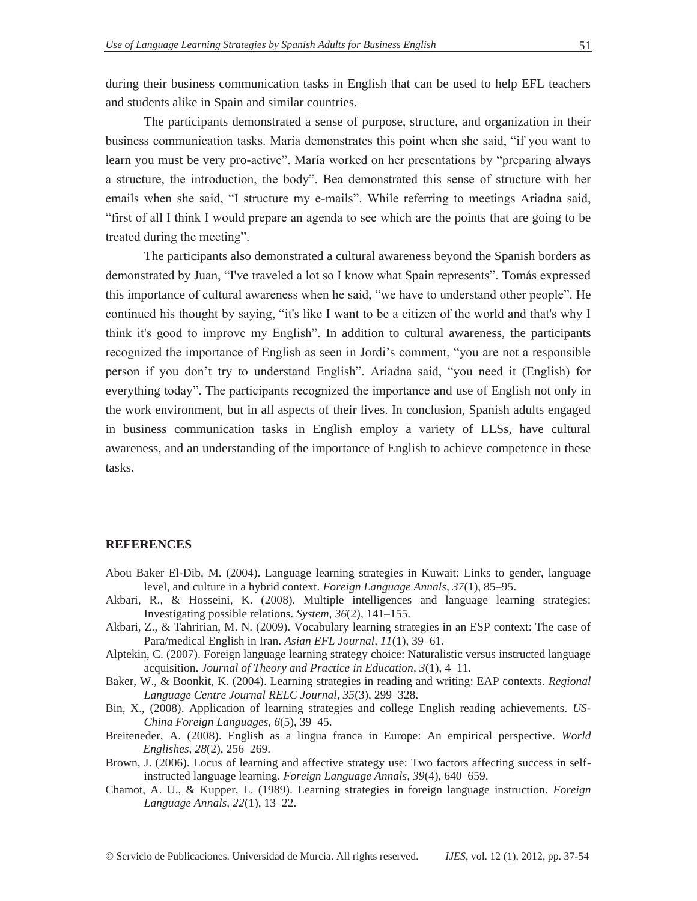during their business communication tasks in English that can be used to help EFL teachers and students alike in Spain and similar countries.

 The participants demonstrated a sense of purpose, structure, and organization in their business communication tasks. María demonstrates this point when she said, "if you want to learn you must be very pro-active". María worked on her presentations by "preparing always a structure, the introduction, the body". Bea demonstrated this sense of structure with her emails when she said, "I structure my e-mails". While referring to meetings Ariadna said, "first of all I think I would prepare an agenda to see which are the points that are going to be treated during the meeting".

 The participants also demonstrated a cultural awareness beyond the Spanish borders as demonstrated by Juan, "I've traveled a lot so I know what Spain represents". Tomás expressed this importance of cultural awareness when he said, "we have to understand other people". He continued his thought by saying, "it's like I want to be a citizen of the world and that's why I think it's good to improve my English". In addition to cultural awareness, the participants recognized the importance of English as seen in Jordi's comment, "you are not a responsible person if you don't try to understand English". Ariadna said, "you need it (English) for everything today". The participants recognized the importance and use of English not only in the work environment, but in all aspects of their lives. In conclusion, Spanish adults engaged in business communication tasks in English employ a variety of LLSs, have cultural awareness, and an understanding of the importance of English to achieve competence in these tasks.

## **REFERENCES**

- Abou Baker El-Dib, M. (2004). Language learning strategies in Kuwait: Links to gender, language level, and culture in a hybrid context. *Foreign Language Annals, 37*(1), 85–95.
- Akbari, R., & Hosseini, K. (2008). Multiple intelligences and language learning strategies: Investigating possible relations. *System, 36*(2), 141–155.
- Akbari, Z., & Tahririan, M. N. (2009). Vocabulary learning strategies in an ESP context: The case of Para/medical English in Iran. *Asian EFL Journal, 11*(1), 39–61.
- Alptekin, C. (2007). Foreign language learning strategy choice: Naturalistic versus instructed language acquisition. *Journal of Theory and Practice in Education, 3*(1), 4–11.
- Baker, W., & Boonkit, K. (2004). Learning strategies in reading and writing: EAP contexts. *Regional Language Centre Journal RELC Journal, 35*(3), 299–328.
- Bin, X., (2008). Application of learning strategies and college English reading achievements. *US-China Foreign Languages, 6*(5), 39–45.
- Breiteneder, A. (2008). English as a lingua franca in Europe: An empirical perspective. *World Englishes, 28*(2), 256–269.
- Brown, J. (2006). Locus of learning and affective strategy use: Two factors affecting success in selfinstructed language learning. *Foreign Language Annals, 39*(4), 640–659.
- Chamot, A. U., & Kupper, L. (1989). Learning strategies in foreign language instruction. *Foreign Language Annals, 22*(1), 13–22.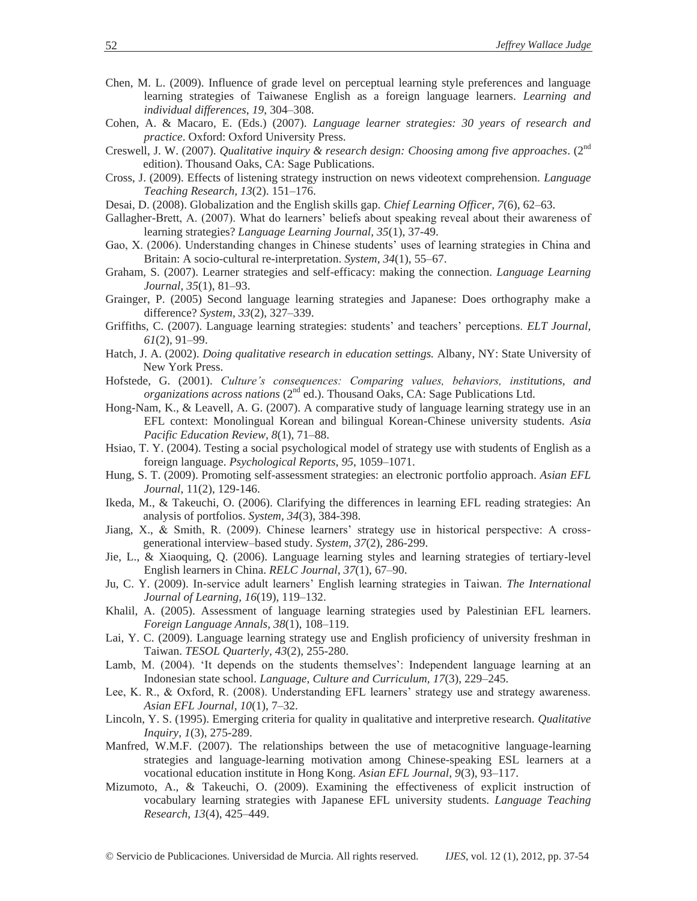- Chen, M. L. (2009). Influence of grade level on perceptual learning style preferences and language learning strategies of Taiwanese English as a foreign language learners. *Learning and individual differences*, *19*, 304–308.
- Cohen, A. & Macaro, E. (Eds.) (2007). *Language learner strategies: 30 years of research and practice*. Oxford: Oxford University Press.
- Creswell, J. W. (2007). *Qualitative inquiry & research design: Choosing among five approaches*. (2nd edition). Thousand Oaks, CA: Sage Publications.
- Cross, J. (2009). Effects of listening strategy instruction on news videotext comprehension. *Language Teaching Research, 13*(2). 151–176.
- Desai, D. (2008). Globalization and the English skills gap. *Chief Learning Officer, 7*(6), 62–63.
- Gallagher-Brett, A. (2007). What do learners' beliefs about speaking reveal about their awareness of learning strategies? *Language Learning Journal, 35*(1), 37-49.
- Gao, X. (2006). Understanding changes in Chinese students' uses of learning strategies in China and Britain: A socio-cultural re-interpretation. *System, 34*(1), 55–67.
- Graham, S. (2007). Learner strategies and self-efficacy: making the connection. *Language Learning Journal, 35*(1), 81–93.
- Grainger, P. (2005) Second language learning strategies and Japanese: Does orthography make a difference? *System, 33*(2), 327–339.
- Griffiths, C. (2007). Language learning strategies: students' and teachers' perceptions. *ELT Journal, 61*(2), 91–99.
- Hatch, J. A. (2002). *Doing qualitative research in education settings.* Albany, NY: State University of New York Press.
- Hofstede, G. (2001). *Culture's consequences: Comparing values, behaviors, institutions, and organizations across nations* (2<sup>nd</sup> ed.). Thousand Oaks, CA: Sage Publications Ltd.
- Hong-Nam, K., & Leavell, A. G. (2007). A comparative study of language learning strategy use in an EFL context: Monolingual Korean and bilingual Korean-Chinese university students. *Asia Pacific Education Review, 8*(1), 71–88.
- Hsiao, T. Y. (2004). Testing a social psychological model of strategy use with students of English as a foreign language. *Psychological Reports, 95*, 1059–1071.
- Hung, S. T. (2009). Promoting self-assessment strategies: an electronic portfolio approach. *Asian EFL Journal,* 11(2), 129-146.
- Ikeda, M., & Takeuchi, O. (2006). Clarifying the differences in learning EFL reading strategies: An analysis of portfolios. *System, 34*(3), 384-398.
- Jiang, X., & Smith, R. (2009). Chinese learners' strategy use in historical perspective: A crossgenerational interview–based study. *System, 37*(2), 286-299.
- Jie, L., & Xiaoquing, Q. (2006). Language learning styles and learning strategies of tertiary-level English learners in China. *RELC Journal, 37*(1), 67–90.
- Ju, C. Y. (2009). In-service adult learners' English learning strategies in Taiwan. *The International Journal of Learning, 16*(19), 119–132.
- Khalil, A. (2005). Assessment of language learning strategies used by Palestinian EFL learners. *Foreign Language Annals, 38*(1), 108–119.
- Lai, Y. C. (2009). Language learning strategy use and English proficiency of university freshman in Taiwan. *TESOL Quarterly, 43*(2), 255-280.
- Lamb, M. (2004). 'It depends on the students themselves': Independent language learning at an Indonesian state school. *Language, Culture and Curriculum, 17*(3), 229–245.
- Lee, K. R., & Oxford, R. (2008). Understanding EFL learners' strategy use and strategy awareness. *Asian EFL Journal, 10*(1), 7–32.
- Lincoln, Y. S. (1995). Emerging criteria for quality in qualitative and interpretive research. *Qualitative Inquiry, 1*(3), 275-289.
- Manfred, W.M.F. (2007). The relationships between the use of metacognitive language-learning strategies and language-learning motivation among Chinese-speaking ESL learners at a vocational education institute in Hong Kong. *Asian EFL Journal, 9*(3), 93–117.
- Mizumoto, A., & Takeuchi, O. (2009). Examining the effectiveness of explicit instruction of vocabulary learning strategies with Japanese EFL university students. *Language Teaching Research, 13*(4), 425–449.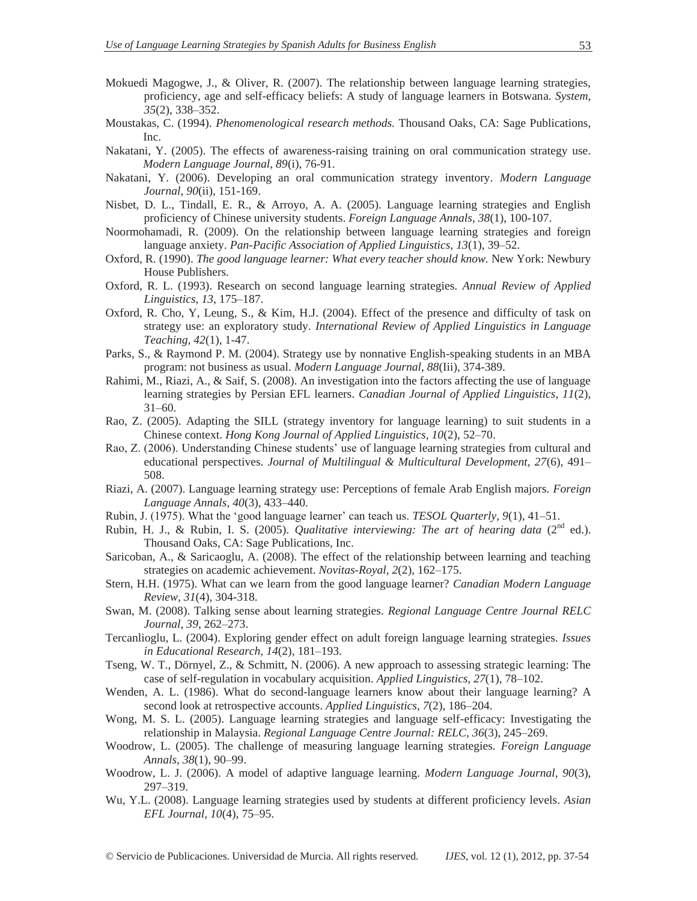- Mokuedi Magogwe, J., & Oliver, R. (2007). The relationship between language learning strategies, proficiency, age and self-efficacy beliefs: A study of language learners in Botswana. *System, 35*(2), 338–352.
- Moustakas, C. (1994). *Phenomenological research methods.* Thousand Oaks, CA: Sage Publications, Inc.
- Nakatani, Y. (2005). The effects of awareness-raising training on oral communication strategy use. *Modern Language Journal, 89*(i), 76-91.
- Nakatani, Y. (2006). Developing an oral communication strategy inventory. *Modern Language Journal, 90*(ii), 151-169.
- Nisbet, D. L., Tindall, E. R., & Arroyo, A. A. (2005). Language learning strategies and English proficiency of Chinese university students. *Foreign Language Annals, 38*(1), 100-107.
- Noormohamadi, R. (2009). On the relationship between language learning strategies and foreign language anxiety. *Pan-Pacific Association of Applied Linguistics, 13*(1), 39–52.
- Oxford, R. (1990). *The good language learner: What every teacher should know.* New York: Newbury House Publishers.
- Oxford, R. L. (1993). Research on second language learning strategies. *Annual Review of Applied Linguistics, 13*, 175–187.
- Oxford, R. Cho, Y, Leung, S., & Kim, H.J. (2004). Effect of the presence and difficulty of task on strategy use: an exploratory study. *International Review of Applied Linguistics in Language Teaching, 42*(1), 1-47.
- Parks, S., & Raymond P. M. (2004). Strategy use by nonnative English-speaking students in an MBA program: not business as usual. *Modern Language Journal, 88*(Iii), 374-389.
- Rahimi, M., Riazi, A., & Saif, S. (2008). An investigation into the factors affecting the use of language learning strategies by Persian EFL learners. *Canadian Journal of Applied Linguistics, 11*(2), 31–60.
- Rao, Z. (2005). Adapting the SILL (strategy inventory for language learning) to suit students in a Chinese context. *Hong Kong Journal of Applied Linguistics, 10*(2), 52–70.
- Rao, Z. (2006). Understanding Chinese students' use of language learning strategies from cultural and educational perspectives. *Journal of Multilingual & Multicultural Development, 27*(6), 491– 508.
- Riazi, A. (2007). Language learning strategy use: Perceptions of female Arab English majors. *Foreign Language Annals, 40*(3), 433–440.
- Rubin, J. (1975). What the 'good language learner' can teach us. *TESOL Quarterly, 9*(1), 41–51.
- Rubin, H. J., & Rubin, I. S. (2005). *Qualitative interviewing: The art of hearing data* (2<sup>nd</sup> ed.). Thousand Oaks, CA: Sage Publications, Inc.
- Saricoban, A., & Saricaoglu, A. (2008). The effect of the relationship between learning and teaching strategies on academic achievement. *Novitas-Royal, 2*(2), 162–175.
- Stern, H.H. (1975). What can we learn from the good language learner? *Canadian Modern Language Review, 31*(4), 304-318.
- Swan, M. (2008). Talking sense about learning strategies. *Regional Language Centre Journal RELC Journal, 39*, 262–273.
- Tercanlioglu, L. (2004). Exploring gender effect on adult foreign language learning strategies. *Issues in Educational Research, 14*(2), 181–193.
- Tseng, W. T., Dörnyel, Z., & Schmitt, N. (2006). A new approach to assessing strategic learning: The case of self-regulation in vocabulary acquisition. *Applied Linguistics, 27*(1), 78–102.
- Wenden, A. L. (1986). What do second-language learners know about their language learning? A second look at retrospective accounts. *Applied Linguistics, 7*(2), 186–204.
- Wong, M. S. L. (2005). Language learning strategies and language self-efficacy: Investigating the relationship in Malaysia. *Regional Language Centre Journal: RELC, 36*(3), 245–269.
- Woodrow, L. (2005). The challenge of measuring language learning strategies. *Foreign Language Annals, 38*(1), 90–99.
- Woodrow, L. J. (2006). A model of adaptive language learning. *Modern Language Journal, 90*(3), 297–319.
- Wu, Y.L. (2008). Language learning strategies used by students at different proficiency levels. *Asian EFL Journal, 10*(4), 75–95.